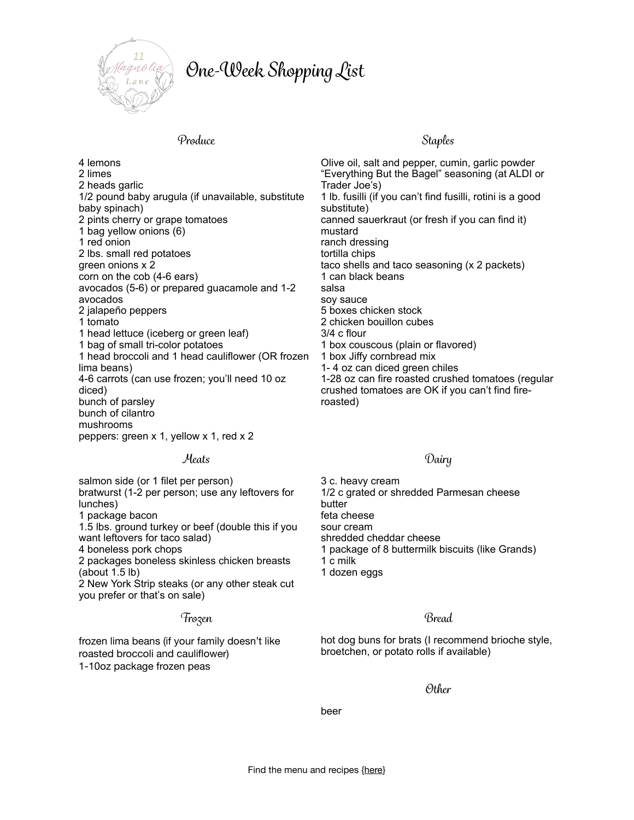

# *On*e*-Wee*k *Shopping Lis*t

## *Produc*e *Staples*

4 lemons 2 limes 2 heads garlic 1/2 pound baby arugula (if unavailable, substitute baby spinach) 2 pints cherry or grape tomatoes 1 bag yellow onions (6) 1 red onion 2 lbs. small red potatoes green onions x 2 corn on the cob (4-6 ears) avocados (5-6) or prepared guacamole and 1-2 avocados 2 jalapeño peppers 1 tomato 1 head lettuce (iceberg or green leaf) 1 bag of small tri-color potatoes 1 head broccoli and 1 head cauliflower (OR frozen lima beans) 4-6 carrots (can use frozen; you'll need 10 oz diced) bunch of parsley bunch of cilantro mushrooms peppers: green x 1, yellow x 1, red x 2

## *Meats Dairy*

salmon side (or 1 filet per person) bratwurst (1-2 per person; use any leftovers for lunches) 1 package bacon 1.5 lbs. ground turkey or beef (double this if you want leftovers for taco salad) 4 boneless pork chops 2 packages boneless skinless chicken breasts (about 1.5 lb) 2 New York Strip steaks (or any other steak cut you prefer or that's on sale)

# *Froze*n *Brea*d

frozen lima beans (if your family doesn't like roasted broccoli and cauliflower) 1-10oz package frozen peas

Olive oil, salt and pepper, cumin, garlic powder "Everything But the Bagel" seasoning (at ALDI or Trader Joe's) 1 lb. fusilli (if you can't find fusilli, rotini is a good substitute) canned sauerkraut (or fresh if you can find it) mustard ranch dressing tortilla chips taco shells and taco seasoning (x 2 packets) 1 can black beans salsa soy sauce 5 boxes chicken stock 2 chicken bouillon cubes 3/4 c flour 1 box couscous (plain or flavored) 1 box Jiffy cornbread mix 1- 4 oz can diced green chiles 1-28 oz can fire roasted crushed tomatoes (regular crushed tomatoes are OK if you can't find fireroasted)

3 c. heavy cream 1/2 c grated or shredded Parmesan cheese butter feta cheese sour cream shredded cheddar cheese 1 package of 8 buttermilk biscuits (like Grands) 1 c milk

1 dozen eggs

hot dog buns for brats (I recommend brioche style, broetchen, or potato rolls if available)

*Othe*r

beer